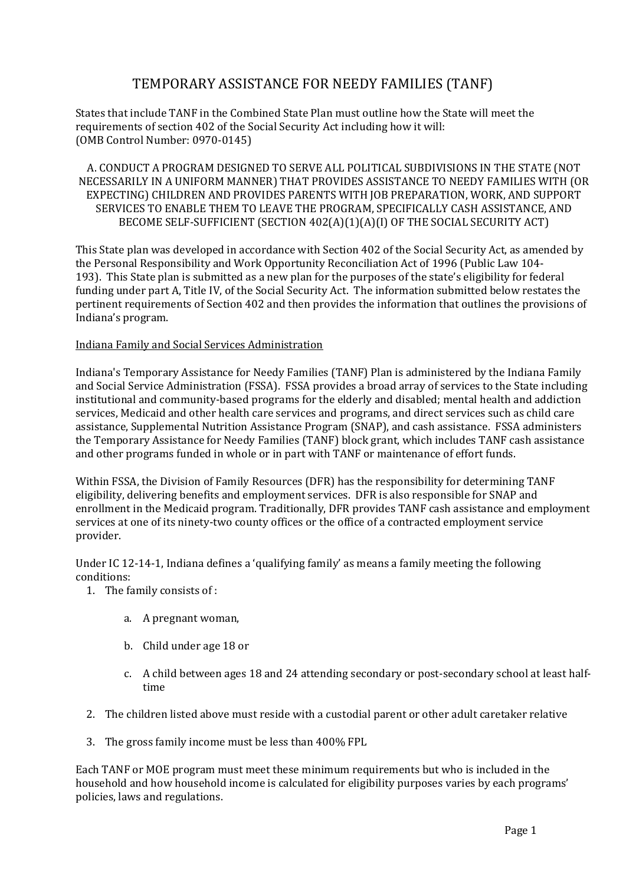# TEMPORARY ASSISTANCE FOR NEEDY FAMILIES (TANF)

States that include TANF in the Combined State Plan must outline how the State will meet the requirements of section 402 of the Social Security Act including how it will: (OMB Control Number: 0970-0145)

A. CONDUCT A PROGRAM DESIGNED TO SERVE ALL POLITICAL SUBDIVISIONS IN THE STATE (NOT NECESSARILY IN A UNIFORM MANNER) THAT PROVIDES ASSISTANCE TO NEEDY FAMILIES WITH (OR EXPECTING) CHILDREN AND PROVIDES PARENTS WITH JOB PREPARATION, WORK, AND SUPPORT SERVICES TO ENABLE THEM TO LEAVE THE PROGRAM, SPECIFICALLY CASH ASSISTANCE, AND BECOME SELF-SUFFICIENT (SECTION 402(A)(1)(A)(I) OF THE SOCIAL SECURITY ACT)

This State plan was developed in accordance with Section 402 of the Social Security Act, as amended by the Personal Responsibility and Work Opportunity Reconciliation Act of 1996 (Public Law 104- 193). This State plan is submitted as a new plan for the purposes of the state's eligibility for federal funding under part A, Title IV, of the Social Security Act. The information submitted below restates the pertinent requirements of Section 402 and then provides the information that outlines the provisions of Indiana's program.

## Indiana Family and Social Services Administration

Indiana's Temporary Assistance for Needy Families (TANF) Plan is administered by the Indiana Family and Social Service Administration (FSSA). FSSA provides a broad array of services to the State including institutional and community-based programs for the elderly and disabled; mental health and addiction services, Medicaid and other health care services and programs, and direct services such as child care assistance, Supplemental Nutrition Assistance Program (SNAP), and cash assistance. FSSA administers the Temporary Assistance for Needy Families (TANF) block grant, which includes TANF cash assistance and other programs funded in whole or in part with TANF or maintenance of effort funds.

Within FSSA, the Division of Family Resources (DFR) has the responsibility for determining TANF eligibility, delivering benefits and employment services. DFR is also responsible for SNAP and enrollment in the Medicaid program. Traditionally, DFR provides TANF cash assistance and employment services at one of its ninety-two county offices or the office of a contracted employment service provider.

Under IC 12-14-1, Indiana defines a 'qualifying family' as means a family meeting the following conditions:

1. The family consists of :

- a. A pregnant woman,
- b. Child under age 18 or
- c. A child between ages 18 and 24 attending secondary or post-secondary school at least halftime
- 2. The children listed above must reside with a custodial parent or other adult caretaker relative
- 3. The gross family income must be less than 400% FPL

Each TANF or MOE program must meet these minimum requirements but who is included in the household and how household income is calculated for eligibility purposes varies by each programs' policies, laws and regulations.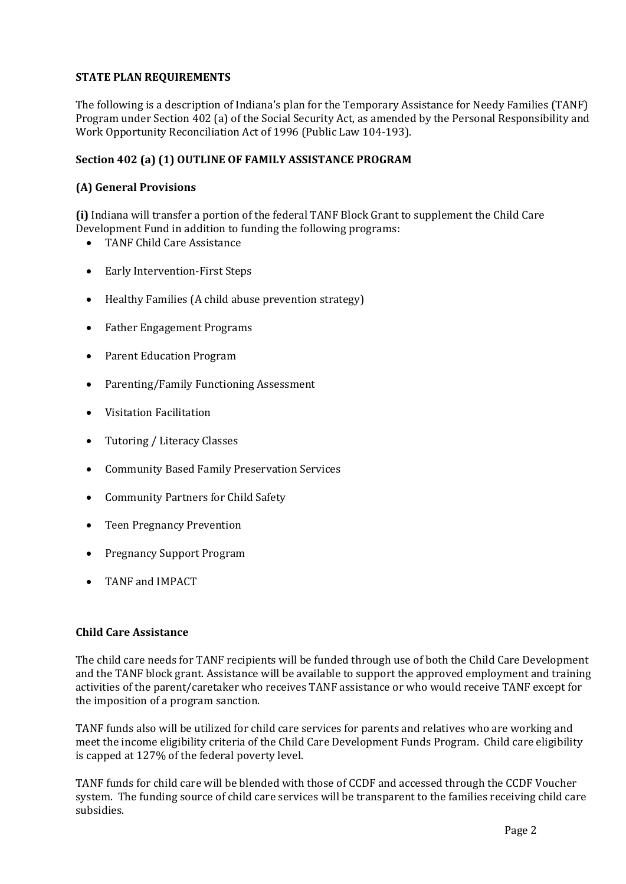# **STATE PLAN REQUIREMENTS**

The following is a description of Indiana's plan for the Temporary Assistance for Needy Families (TANF) Program under Section 402 (a) of the Social Security Act, as amended by the Personal Responsibility and Work Opportunity Reconciliation Act of 1996 (Public Law 104-193).

## **Section 402 (a) (1) OUTLINE OF FAMILY ASSISTANCE PROGRAM**

## **(A) General Provisions**

**(i)** Indiana will transfer a portion of the federal TANF Block Grant to supplement the Child Care Development Fund in addition to funding the following programs:

- TANF Child Care Assistance
- Early Intervention-First Steps
- Healthy Families (A child abuse prevention strategy)
- Father Engagement Programs
- Parent Education Program
- Parenting/Family Functioning Assessment
- Visitation Facilitation
- Tutoring / Literacy Classes
- Community Based Family Preservation Services
- Community Partners for Child Safety
- Teen Pregnancy Prevention
- Pregnancy Support Program
- TANF and IMPACT

## **Child Care Assistance**

The child care needs for TANF recipients will be funded through use of both the Child Care Development and the TANF block grant. Assistance will be available to support the approved employment and training activities of the parent/caretaker who receives TANF assistance or who would receive TANF except for the imposition of a program sanction.

TANF funds also will be utilized for child care services for parents and relatives who are working and meet the income eligibility criteria of the Child Care Development Funds Program. Child care eligibility is capped at 127% of the federal poverty level.

TANF funds for child care will be blended with those of CCDF and accessed through the CCDF Voucher system. The funding source of child care services will be transparent to the families receiving child care subsidies.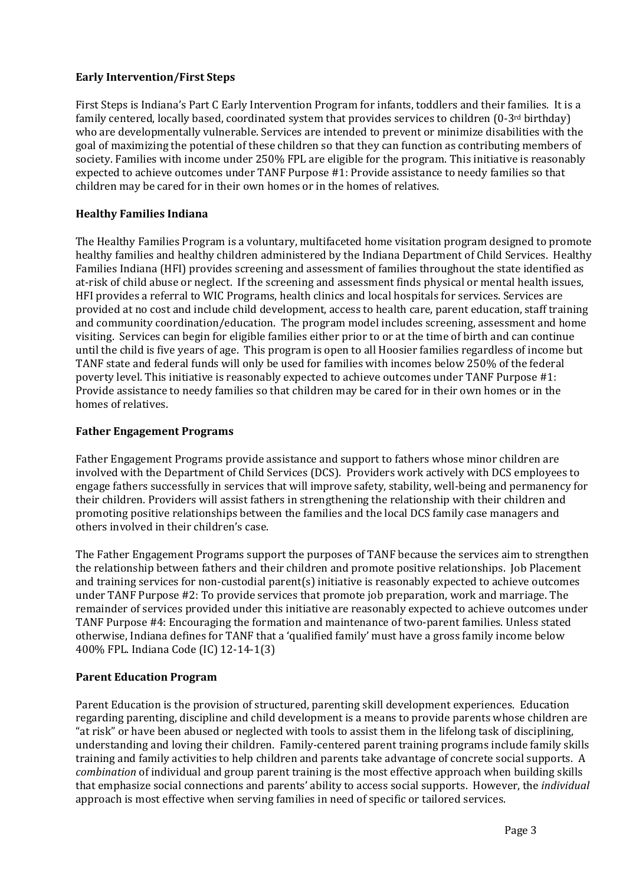# **Early Intervention/First Steps**

First Steps is Indiana's Part C Early Intervention Program for infants, toddlers and their families. It is a family centered, locally based, coordinated system that provides services to children  $(0-3^{rd}$  birthday) who are developmentally vulnerable. Services are intended to prevent or minimize disabilities with the goal of maximizing the potential of these children so that they can function as contributing members of society. Families with income under 250% FPL are eligible for the program. This initiative is reasonably expected to achieve outcomes under TANF Purpose #1: Provide assistance to needy families so that children may be cared for in their own homes or in the homes of relatives.

## **Healthy Families Indiana**

The Healthy Families Program is a voluntary, multifaceted home visitation program designed to promote healthy families and healthy children administered by the Indiana Department of Child Services. Healthy Families Indiana (HFI) provides screening and assessment of families throughout the state identified as at-risk of child abuse or neglect. If the screening and assessment finds physical or mental health issues, HFI provides a referral to WIC Programs, health clinics and local hospitals for services. Services are provided at no cost and include child development, access to health care, parent education, staff training and community coordination/education. The program model includes screening, assessment and home visiting. Services can begin for eligible families either prior to or at the time of birth and can continue until the child is five years of age. This program is open to all Hoosier families regardless of income but TANF state and federal funds will only be used for families with incomes below 250% of the federal poverty level. This initiative is reasonably expected to achieve outcomes under TANF Purpose #1: Provide assistance to needy families so that children may be cared for in their own homes or in the homes of relatives.

## **Father Engagement Programs**

Father Engagement Programs provide assistance and support to fathers whose minor children are involved with the Department of Child Services (DCS). Providers work actively with DCS employees to engage fathers successfully in services that will improve safety, stability, well-being and permanency for their children. Providers will assist fathers in strengthening the relationship with their children and promoting positive relationships between the families and the local DCS family case managers and others involved in their children's case.

The Father Engagement Programs support the purposes of TANF because the services aim to strengthen the relationship between fathers and their children and promote positive relationships. Job Placement and training services for non-custodial parent(s) initiative is reasonably expected to achieve outcomes under TANF Purpose #2: To provide services that promote job preparation, work and marriage. The remainder of services provided under this initiative are reasonably expected to achieve outcomes under TANF Purpose #4: Encouraging the formation and maintenance of two-parent families. Unless stated otherwise, Indiana defines for TANF that a 'qualified family' must have a gross family income below 400% FPL. Indiana Code (IC) 12-14-1(3)

## **Parent Education Program**

Parent Education is the provision of structured, parenting skill development experiences. Education regarding parenting, discipline and child development is a means to provide parents whose children are "at risk" or have been abused or neglected with tools to assist them in the lifelong task of disciplining, understanding and loving their children. Family-centered parent training programs include family skills training and family activities to help children and parents take advantage of concrete social supports. A *combination* of individual and group parent training is the most effective approach when building skills that emphasize social connections and parents' ability to access social supports. However, the *individual* approach is most effective when serving families in need of specific or tailored services.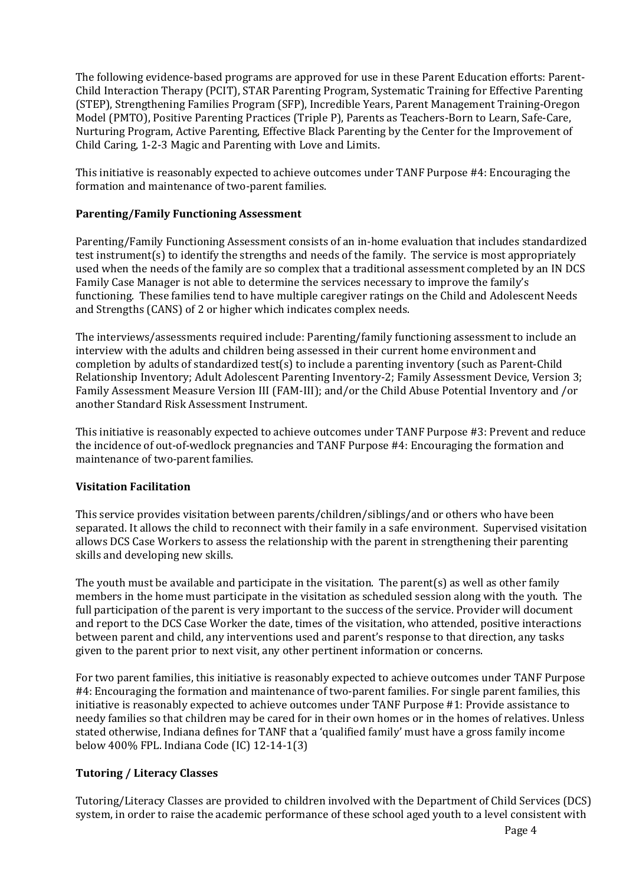The following evidence-based programs are approved for use in these Parent Education efforts: Parent-Child Interaction Therapy (PCIT), STAR Parenting Program, Systematic Training for Effective Parenting (STEP), Strengthening Families Program (SFP), Incredible Years, Parent Management Training-Oregon Model (PMTO), Positive Parenting Practices (Triple P), Parents as Teachers-Born to Learn, Safe-Care, Nurturing Program, Active Parenting, Effective Black Parenting by the Center for the Improvement of Child Caring, 1-2-3 Magic and Parenting with Love and Limits.

This initiative is reasonably expected to achieve outcomes under TANF Purpose #4: Encouraging the formation and maintenance of two-parent families.

## **Parenting/Family Functioning Assessment**

Parenting/Family Functioning Assessment consists of an in-home evaluation that includes standardized test instrument(s) to identify the strengths and needs of the family. The service is most appropriately used when the needs of the family are so complex that a traditional assessment completed by an IN DCS Family Case Manager is not able to determine the services necessary to improve the family's functioning. These families tend to have multiple caregiver ratings on the Child and Adolescent Needs and Strengths (CANS) of 2 or higher which indicates complex needs.

The interviews/assessments required include: Parenting/family functioning assessment to include an interview with the adults and children being assessed in their current home environment and completion by adults of standardized test(s) to include a parenting inventory (such as Parent-Child Relationship Inventory; Adult Adolescent Parenting Inventory-2; Family Assessment Device, Version 3; Family Assessment Measure Version III (FAM-III); and/or the Child Abuse Potential Inventory and /or another Standard Risk Assessment Instrument.

This initiative is reasonably expected to achieve outcomes under TANF Purpose #3: Prevent and reduce the incidence of out-of-wedlock pregnancies and TANF Purpose #4: Encouraging the formation and maintenance of two-parent families.

## **Visitation Facilitation**

This service provides visitation between parents/children/siblings/and or others who have been separated. It allows the child to reconnect with their family in a safe environment. Supervised visitation allows DCS Case Workers to assess the relationship with the parent in strengthening their parenting skills and developing new skills.

The youth must be available and participate in the visitation. The parent(s) as well as other family members in the home must participate in the visitation as scheduled session along with the youth. The full participation of the parent is very important to the success of the service. Provider will document and report to the DCS Case Worker the date, times of the visitation, who attended, positive interactions between parent and child, any interventions used and parent's response to that direction, any tasks given to the parent prior to next visit, any other pertinent information or concerns.

For two parent families, this initiative is reasonably expected to achieve outcomes under TANF Purpose #4: Encouraging the formation and maintenance of two-parent families. For single parent families, this initiative is reasonably expected to achieve outcomes under TANF Purpose #1: Provide assistance to needy families so that children may be cared for in their own homes or in the homes of relatives. Unless stated otherwise, Indiana defines for TANF that a 'qualified family' must have a gross family income below 400% FPL. Indiana Code (IC) 12-14-1(3)

## **Tutoring / Literacy Classes**

Tutoring/Literacy Classes are provided to children involved with the Department of Child Services (DCS) system, in order to raise the academic performance of these school aged youth to a level consistent with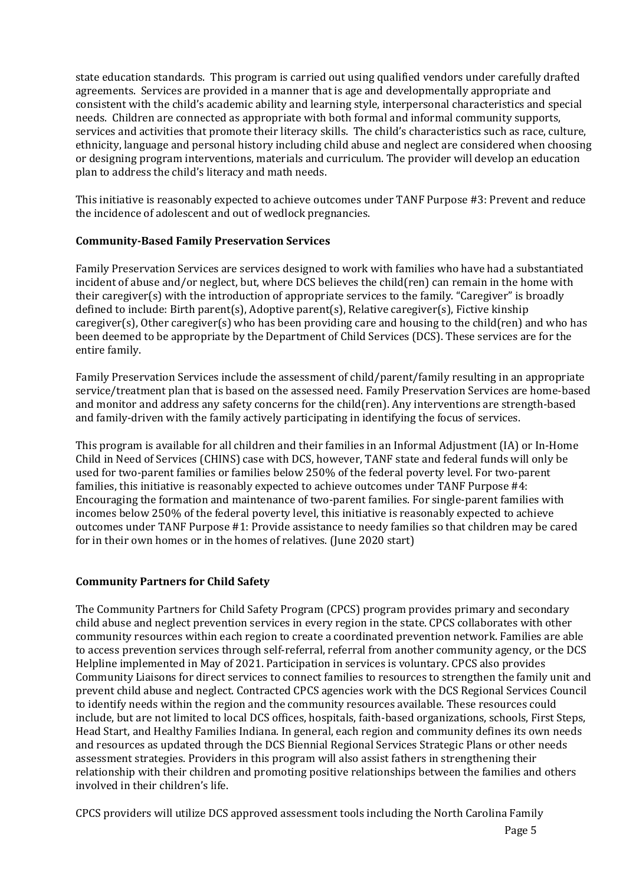state education standards. This program is carried out using qualified vendors under carefully drafted agreements. Services are provided in a manner that is age and developmentally appropriate and consistent with the child's academic ability and learning style, interpersonal characteristics and special needs. Children are connected as appropriate with both formal and informal community supports, services and activities that promote their literacy skills. The child's characteristics such as race, culture, ethnicity, language and personal history including child abuse and neglect are considered when choosing or designing program interventions, materials and curriculum. The provider will develop an education plan to address the child's literacy and math needs.

This initiative is reasonably expected to achieve outcomes under TANF Purpose #3: Prevent and reduce the incidence of adolescent and out of wedlock pregnancies.

## **Community-Based Family Preservation Services**

Family Preservation Services are services designed to work with families who have had a substantiated incident of abuse and/or neglect, but, where DCS believes the child(ren) can remain in the home with their caregiver(s) with the introduction of appropriate services to the family. "Caregiver" is broadly defined to include: Birth parent(s), Adoptive parent(s), Relative caregiver(s), Fictive kinship caregiver(s), Other caregiver(s) who has been providing care and housing to the child(ren) and who has been deemed to be appropriate by the Department of Child Services (DCS). These services are for the entire family.

Family Preservation Services include the assessment of child/parent/family resulting in an appropriate service/treatment plan that is based on the assessed need. Family Preservation Services are home-based and monitor and address any safety concerns for the child(ren). Any interventions are strength-based and family-driven with the family actively participating in identifying the focus of services.

This program is available for all children and their families in an Informal Adjustment (IA) or In-Home Child in Need of Services (CHINS) case with DCS, however, TANF state and federal funds will only be used for two-parent families or families below 250% of the federal poverty level. For two-parent families, this initiative is reasonably expected to achieve outcomes under TANF Purpose #4: Encouraging the formation and maintenance of two-parent families. For single-parent families with incomes below 250% of the federal poverty level, this initiative is reasonably expected to achieve outcomes under TANF Purpose #1: Provide assistance to needy families so that children may be cared for in their own homes or in the homes of relatives. (June 2020 start)

## **Community Partners for Child Safety**

The Community Partners for Child Safety Program (CPCS) program provides primary and secondary child abuse and neglect prevention services in every region in the state. CPCS collaborates with other community resources within each region to create a coordinated prevention network. Families are able to access prevention services through self-referral, referral from another community agency, or the DCS Helpline implemented in May of 2021. Participation in services is voluntary. CPCS also provides Community Liaisons for direct services to connect families to resources to strengthen the family unit and prevent child abuse and neglect. Contracted CPCS agencies work with the DCS Regional Services Council to identify needs within the region and the community resources available. These resources could include, but are not limited to local DCS offices, hospitals, faith-based organizations, schools, First Steps, Head Start, and Healthy Families Indiana. In general, each region and community defines its own needs and resources as updated through the DCS Biennial Regional Services Strategic Plans or other needs assessment strategies. Providers in this program will also assist fathers in strengthening their relationship with their children and promoting positive relationships between the families and others involved in their children's life.

CPCS providers will utilize DCS approved assessment tools including the North Carolina Family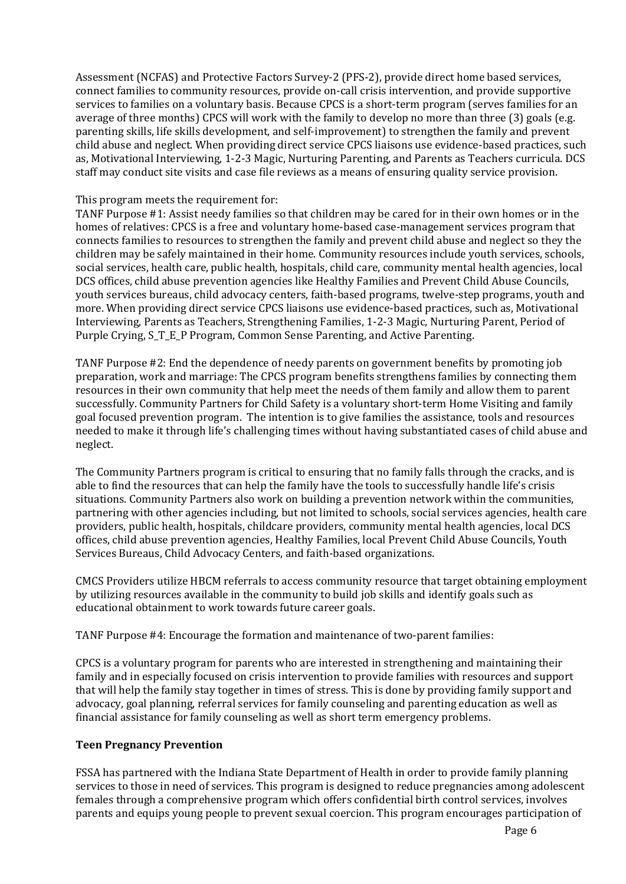Assessment (NCFAS) and Protective Factors Survey-2 (PFS-2), provide direct home based services, connect families to community resources, provide on-call crisis intervention, and provide supportive services to families on a voluntary basis. Because CPCS is a short-term program (serves families for an average of three months) CPCS will work with the family to develop no more than three (3) goals (e.g. parenting skills, life skills development, and self-improvement) to strengthen the family and prevent child abuse and neglect. When providing direct service CPCS liaisons use evidence-based practices, such as, Motivational Interviewing, 1-2-3 Magic, Nurturing Parenting, and Parents as Teachers curricula. DCS staff may conduct site visits and case file reviews as a means of ensuring quality service provision.

### This program meets the requirement for:

TANF Purpose #1: Assist needy families so that children may be cared for in their own homes or in the homes of relatives: CPCS is a free and voluntary home-based case-management services program that connects families to resources to strengthen the family and prevent child abuse and neglect so they the children may be safely maintained in their home. Community resources include youth services, schools, social services, health care, public health, hospitals, child care, community mental health agencies, local DCS offices, child abuse prevention agencies like Healthy Families and Prevent Child Abuse Councils, youth services bureaus, child advocacy centers, faith-based programs, twelve-step programs, youth and more. When providing direct service CPCS liaisons use evidence-based practices, such as, Motivational Interviewing, Parents as Teachers, Strengthening Families, 1-2-3 Magic, Nurturing Parent, Period of Purple Crying, S\_T\_E\_P Program, Common Sense Parenting, and Active Parenting.

TANF Purpose #2: End the dependence of needy parents on government benefits by promoting job preparation, work and marriage: The CPCS program benefits strengthens families by connecting them resources in their own community that help meet the needs of them family and allow them to parent successfully. Community Partners for Child Safety is a voluntary short-term Home Visiting and family goal focused prevention program. The intention is to give families the assistance, tools and resources needed to make it through life's challenging times without having substantiated cases of child abuse and neglect.

The Community Partners program is critical to ensuring that no family falls through the cracks, and is able to find the resources that can help the family have the tools to successfully handle life's crisis situations. Community Partners also work on building a prevention network within the communities, partnering with other agencies including, but not limited to schools, social services agencies, health care providers, public health, hospitals, childcare providers, community mental health agencies, local DCS offices, child abuse prevention agencies, Healthy Families, local Prevent Child Abuse Councils, Youth Services Bureaus, Child Advocacy Centers, and faith-based organizations.

CMCS Providers utilize HBCM referrals to access community resource that target obtaining employment by utilizing resources available in the community to build job skills and identify goals such as educational obtainment to work towards future career goals.

TANF Purpose #4: Encourage the formation and maintenance of two-parent families:

CPCS is a voluntary program for parents who are interested in strengthening and maintaining their family and in especially focused on crisis intervention to provide families with resources and support that will help the family stay together in times of stress. This is done by providing family support and advocacy, goal planning, referral services for family counseling and parenting education as well as financial assistance for family counseling as well as short term emergency problems.

## **Teen Pregnancy Prevention**

FSSA has partnered with the Indiana State Department of Health in order to provide family planning services to those in need of services. This program is designed to reduce pregnancies among adolescent females through a comprehensive program which offers confidential birth control services, involves parents and equips young people to prevent sexual coercion. This program encourages participation of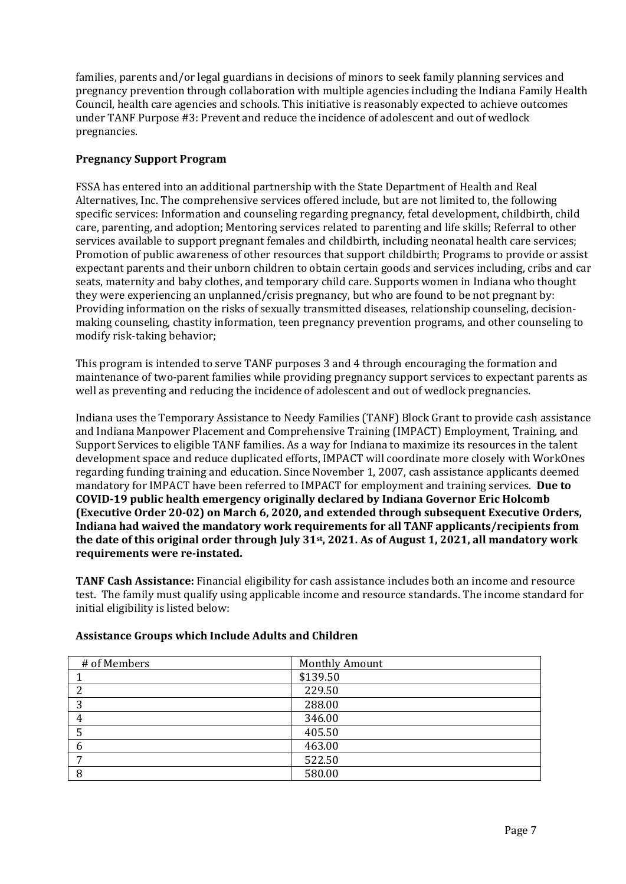families, parents and/or legal guardians in decisions of minors to seek family planning services and pregnancy prevention through collaboration with multiple agencies including the Indiana Family Health Council, health care agencies and schools. This initiative is reasonably expected to achieve outcomes under TANF Purpose #3: Prevent and reduce the incidence of adolescent and out of wedlock pregnancies.

## **Pregnancy Support Program**

FSSA has entered into an additional partnership with the State Department of Health and Real Alternatives, Inc. The comprehensive services offered include, but are not limited to, the following specific services: Information and counseling regarding pregnancy, fetal development, childbirth, child care, parenting, and adoption; Mentoring services related to parenting and life skills; Referral to other services available to support pregnant females and childbirth, including neonatal health care services; Promotion of public awareness of other resources that support childbirth; Programs to provide or assist expectant parents and their unborn children to obtain certain goods and services including, cribs and car seats, maternity and baby clothes, and temporary child care. Supports women in Indiana who thought they were experiencing an unplanned/crisis pregnancy, but who are found to be not pregnant by: Providing information on the risks of sexually transmitted diseases, relationship counseling, decisionmaking counseling, chastity information, teen pregnancy prevention programs, and other counseling to modify risk-taking behavior;

This program is intended to serve TANF purposes 3 and 4 through encouraging the formation and maintenance of two-parent families while providing pregnancy support services to expectant parents as well as preventing and reducing the incidence of adolescent and out of wedlock pregnancies.

Indiana uses the Temporary Assistance to Needy Families (TANF) Block Grant to provide cash assistance and Indiana Manpower Placement and Comprehensive Training (IMPACT) Employment, Training, and Support Services to eligible TANF families. As a way for Indiana to maximize its resources in the talent development space and reduce duplicated efforts, IMPACT will coordinate more closely with WorkOnes regarding funding training and education. Since November 1, 2007, cash assistance applicants deemed mandatory for IMPACT have been referred to IMPACT for employment and training services. **Due to COVID-19 public health emergency originally declared by Indiana Governor Eric Holcomb (Executive Order 20-02) on March 6, 2020, and extended through subsequent Executive Orders, Indiana had waived the mandatory work requirements for all TANF applicants/recipients from the date of this original order through July 31st, 2021. As of August 1, 2021, all mandatory work requirements were re-instated.** 

**TANF Cash Assistance:** Financial eligibility for cash assistance includes both an income and resource test. The family must qualify using applicable income and resource standards. The income standard for initial eligibility is listed below:

| # of Members | <b>Monthly Amount</b> |
|--------------|-----------------------|
|              | \$139.50              |
| ∍            | 229.50                |
| ∍            | 288.00                |
|              | 346.00                |
|              | 405.50                |
| n            | 463.00                |
| ⇁            | 522.50                |
| 8            | 580.00                |

## **Assistance Groups which Include Adults and Children**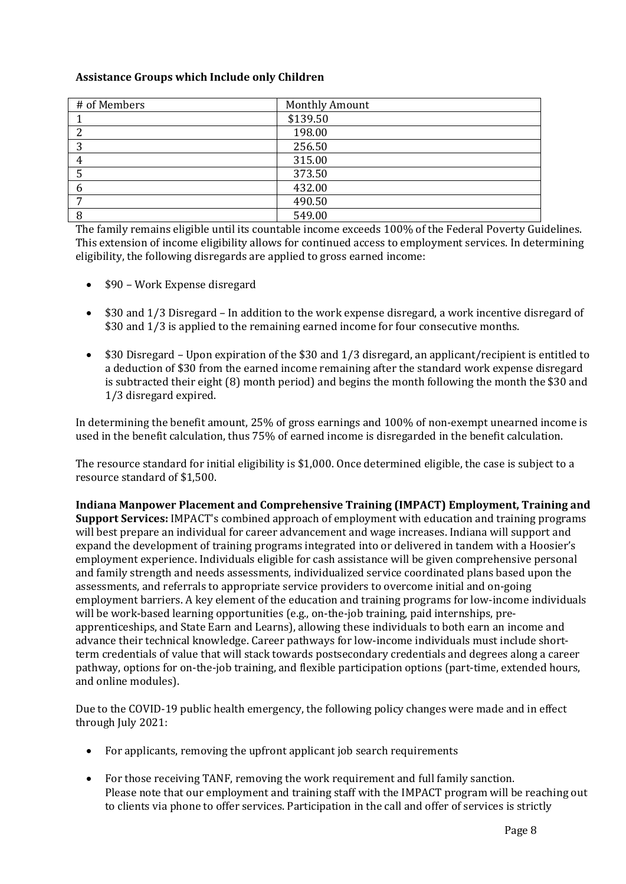## **Assistance Groups which Include only Children**

| # of Members | <b>Monthly Amount</b> |
|--------------|-----------------------|
|              | \$139.50              |
| 2            | 198.00                |
| 3            | 256.50                |
| 4            | 315.00                |
|              | 373.50                |
| 6            | 432.00                |
| ⇁            | 490.50                |
|              | 549.00                |

The family remains eligible until its countable income exceeds 100% of the Federal Poverty Guidelines. This extension of income eligibility allows for continued access to employment services. In determining eligibility, the following disregards are applied to gross earned income:

- \$90 Work Expense disregard
- \$30 and 1/3 Disregard In addition to the work expense disregard, a work incentive disregard of \$30 and 1/3 is applied to the remaining earned income for four consecutive months.
- \$30 Disregard Upon expiration of the \$30 and 1/3 disregard, an applicant/recipient is entitled to a deduction of \$30 from the earned income remaining after the standard work expense disregard is subtracted their eight (8) month period) and begins the month following the month the \$30 and 1/3 disregard expired.

In determining the benefit amount, 25% of gross earnings and 100% of non-exempt unearned income is used in the benefit calculation, thus 75% of earned income is disregarded in the benefit calculation.

The resource standard for initial eligibility is \$1,000. Once determined eligible, the case is subject to a resource standard of \$1,500.

**Indiana Manpower Placement and Comprehensive Training (IMPACT) Employment, Training and Support Services:** IMPACT's combined approach of employment with education and training programs will best prepare an individual for career advancement and wage increases. Indiana will support and expand the development of training programs integrated into or delivered in tandem with a Hoosier's employment experience. Individuals eligible for cash assistance will be given comprehensive personal and family strength and needs assessments, individualized service coordinated plans based upon the assessments, and referrals to appropriate service providers to overcome initial and on-going employment barriers. A key element of the education and training programs for low-income individuals will be work-based learning opportunities (e.g., on-the-job training, paid internships, preapprenticeships, and State Earn and Learns), allowing these individuals to both earn an income and advance their technical knowledge. Career pathways for low-income individuals must include shortterm credentials of value that will stack towards postsecondary credentials and degrees along a career pathway, options for on-the-job training, and flexible participation options (part-time, extended hours, and online modules).

Due to the COVID-19 public health emergency, the following policy changes were made and in effect through July 2021:

- For applicants, removing the upfront applicant job search requirements
- For those receiving TANF, removing the work requirement and full family sanction. Please note that our employment and training staff with the IMPACT program will be reaching out to clients via phone to offer services. Participation in the call and offer of services is strictly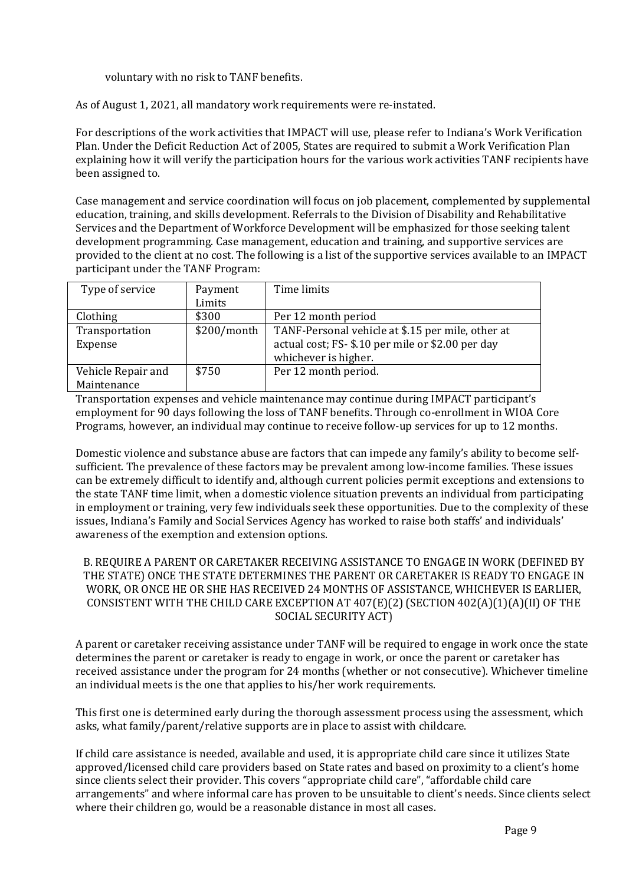voluntary with no risk to TANF benefits.

As of August 1, 2021, all mandatory work requirements were re-instated.

For descriptions of the work activities that IMPACT will use, please refer to Indiana's Work Verification Plan. Under the Deficit Reduction Act of 2005, States are required to submit a Work Verification Plan explaining how it will verify the participation hours for the various work activities TANF recipients have been assigned to.

Case management and service coordination will focus on job placement, complemented by supplemental education, training, and skills development. Referrals to the Division of Disability and Rehabilitative Services and the Department of Workforce Development will be emphasized for those seeking talent development programming. Case management, education and training, and supportive services are provided to the client at no cost. The following is a list of the supportive services available to an IMPACT participant under the TANF Program:

| Type of service    | Payment       | Time limits                                       |
|--------------------|---------------|---------------------------------------------------|
|                    | Limits        |                                                   |
| Clothing           | \$300         | Per 12 month period                               |
| Transportation     | $$200/m$ onth | TANF-Personal vehicle at \$.15 per mile, other at |
| Expense            |               | actual cost; FS-\$.10 per mile or \$2.00 per day  |
|                    |               | whichever is higher.                              |
| Vehicle Repair and | \$750         | Per 12 month period.                              |
| Maintenance        |               |                                                   |

Transportation expenses and vehicle maintenance may continue during IMPACT participant's employment for 90 days following the loss of TANF benefits. Through co-enrollment in WIOA Core Programs, however, an individual may continue to receive follow-up services for up to 12 months.

Domestic violence and substance abuse are factors that can impede any family's ability to become selfsufficient. The prevalence of these factors may be prevalent among low-income families. These issues can be extremely difficult to identify and, although current policies permit exceptions and extensions to the state TANF time limit, when a domestic violence situation prevents an individual from participating in employment or training, very few individuals seek these opportunities. Due to the complexity of these issues, Indiana's Family and Social Services Agency has worked to raise both staffs' and individuals' awareness of the exemption and extension options.

### B. REQUIRE A PARENT OR CARETAKER RECEIVING ASSISTANCE TO ENGAGE IN WORK (DEFINED BY THE STATE) ONCE THE STATE DETERMINES THE PARENT OR CARETAKER IS READY TO ENGAGE IN WORK, OR ONCE HE OR SHE HAS RECEIVED 24 MONTHS OF ASSISTANCE, WHICHEVER IS EARLIER, CONSISTENT WITH THE CHILD CARE EXCEPTION AT 407(E)(2) (SECTION 402(A)(1)(A)(II) OF THE SOCIAL SECURITY ACT)

A parent or caretaker receiving assistance under TANF will be required to engage in work once the state determines the parent or caretaker is ready to engage in work, or once the parent or caretaker has received assistance under the program for 24 months (whether or not consecutive). Whichever timeline an individual meets is the one that applies to his/her work requirements.

This first one is determined early during the thorough assessment process using the assessment, which asks, what family/parent/relative supports are in place to assist with childcare.

If child care assistance is needed, available and used, it is appropriate child care since it utilizes State approved/licensed child care providers based on State rates and based on proximity to a client's home since clients select their provider. This covers "appropriate child care", "affordable child care arrangements" and where informal care has proven to be unsuitable to client's needs. Since clients select where their children go, would be a reasonable distance in most all cases.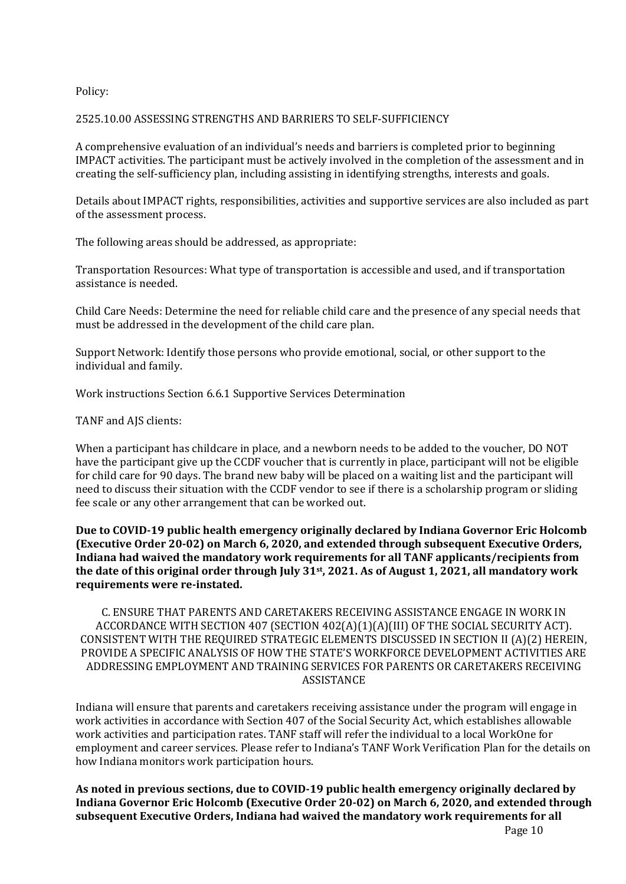Policy:

#### 2525.10.00 ASSESSING STRENGTHS AND BARRIERS TO SELF-SUFFICIENCY

A comprehensive evaluation of an individual's needs and barriers is completed prior to beginning IMPACT activities. The participant must be actively involved in the completion of the assessment and in creating the self-sufficiency plan, including assisting in identifying strengths, interests and goals.

Details about IMPACT rights, responsibilities, activities and supportive services are also included as part of the assessment process.

The following areas should be addressed, as appropriate:

Transportation Resources: What type of transportation is accessible and used, and if transportation assistance is needed.

Child Care Needs: Determine the need for reliable child care and the presence of any special needs that must be addressed in the development of the child care plan.

Support Network: Identify those persons who provide emotional, social, or other support to the individual and family.

Work instructions Section 6.6.1 Supportive Services Determination

TANF and AJS clients:

When a participant has childcare in place, and a newborn needs to be added to the voucher, DO NOT have the participant give up the CCDF voucher that is currently in place, participant will not be eligible for child care for 90 days. The brand new baby will be placed on a waiting list and the participant will need to discuss their situation with the CCDF vendor to see if there is a scholarship program or sliding fee scale or any other arrangement that can be worked out.

**Due to COVID-19 public health emergency originally declared by Indiana Governor Eric Holcomb (Executive Order 20-02) on March 6, 2020, and extended through subsequent Executive Orders, Indiana had waived the mandatory work requirements for all TANF applicants/recipients from the date of this original order through July 31st, 2021. As of August 1, 2021, all mandatory work requirements were re-instated.** 

C. ENSURE THAT PARENTS AND CARETAKERS RECEIVING ASSISTANCE ENGAGE IN WORK IN ACCORDANCE WITH SECTION 407 (SECTION 402(A)(1)(A)(III) OF THE SOCIAL SECURITY ACT). CONSISTENT WITH THE REQUIRED STRATEGIC ELEMENTS DISCUSSED IN SECTION II (A)(2) HEREIN, PROVIDE A SPECIFIC ANALYSIS OF HOW THE STATE'S WORKFORCE DEVELOPMENT ACTIVITIES ARE ADDRESSING EMPLOYMENT AND TRAINING SERVICES FOR PARENTS OR CARETAKERS RECEIVING ASSISTANCE

Indiana will ensure that parents and caretakers receiving assistance under the program will engage in work activities in accordance with Section 407 of the Social Security Act, which establishes allowable work activities and participation rates. TANF staff will refer the individual to a local WorkOne for employment and career services. Please refer to Indiana's TANF Work Verification Plan for the details on how Indiana monitors work participation hours.

**As noted in previous sections, due to COVID-19 public health emergency originally declared by Indiana Governor Eric Holcomb (Executive Order 20-02) on March 6, 2020, and extended through subsequent Executive Orders, Indiana had waived the mandatory work requirements for all**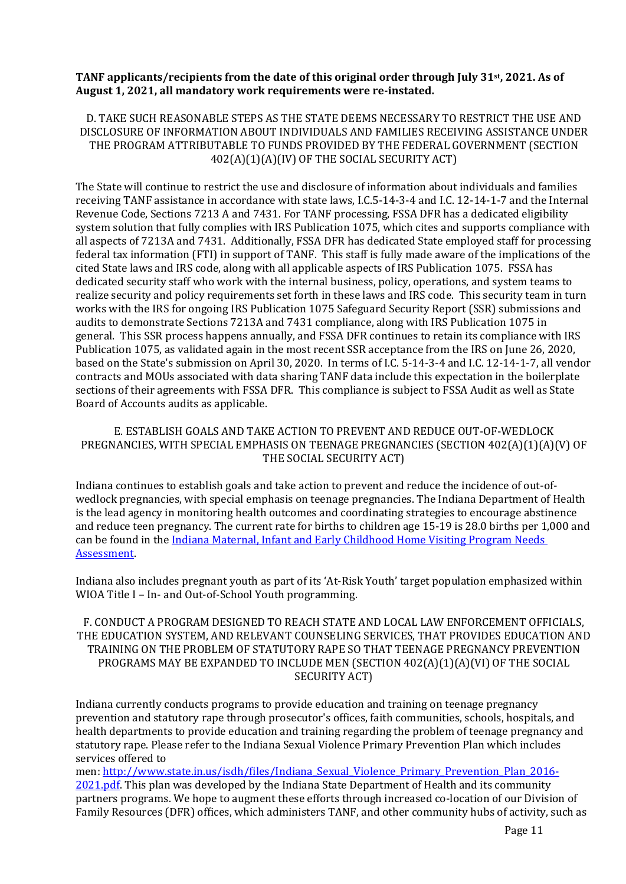## **TANF applicants/recipients from the date of this original order through July 31st, 2021. As of August 1, 2021, all mandatory work requirements were re-instated.**

D. TAKE SUCH REASONABLE STEPS AS THE STATE DEEMS NECESSARY TO RESTRICT THE USE AND DISCLOSURE OF INFORMATION ABOUT INDIVIDUALS AND FAMILIES RECEIVING ASSISTANCE UNDER THE PROGRAM ATTRIBUTABLE TO FUNDS PROVIDED BY THE FEDERAL GOVERNMENT (SECTION 402(A)(1)(A)(IV) OF THE SOCIAL SECURITY ACT)

The State will continue to restrict the use and disclosure of information about individuals and families receiving TANF assistance in accordance with state laws, I.C.5-14-3-4 and I.C. 12-14-1-7 and the Internal Revenue Code, Sections 7213 A and 7431. For TANF processing, FSSA DFR has a dedicated eligibility system solution that fully complies with IRS Publication 1075, which cites and supports compliance with all aspects of 7213A and 7431. Additionally, FSSA DFR has dedicated State employed staff for processing federal tax information (FTI) in support of TANF. This staff is fully made aware of the implications of the cited State laws and IRS code, along with all applicable aspects of IRS Publication 1075. FSSA has dedicated security staff who work with the internal business, policy, operations, and system teams to realize security and policy requirements set forth in these laws and IRS code. This security team in turn works with the IRS for ongoing IRS Publication 1075 Safeguard Security Report (SSR) submissions and audits to demonstrate Sections 7213A and 7431 compliance, along with IRS Publication 1075 in general. This SSR process happens annually, and FSSA DFR continues to retain its compliance with IRS Publication 1075, as validated again in the most recent SSR acceptance from the IRS on June 26, 2020, based on the State's submission on April 30, 2020. In terms of I.C. 5-14-3-4 and I.C. 12-14-1-7, all vendor contracts and MOUs associated with data sharing TANF data include this expectation in the boilerplate sections of their agreements with FSSA DFR. This compliance is subject to FSSA Audit as well as State Board of Accounts audits as applicable.

### E. ESTABLISH GOALS AND TAKE ACTION TO PREVENT AND REDUCE OUT-OF-WEDLOCK PREGNANCIES, WITH SPECIAL EMPHASIS ON TEENAGE PREGNANCIES (SECTION 402(A)(1)(A)(V) OF THE SOCIAL SECURITY ACT)

Indiana continues to establish goals and take action to prevent and reduce the incidence of out-ofwedlock pregnancies, with special emphasis on teenage pregnancies. The Indiana Department of Health is the lead agency in monitoring health outcomes and coordinating strategies to encourage abstinence and reduce teen pregnancy. The current rate for births to children age 15-19 is 28.0 births per 1,000 and can be found in the Indiana Maternal, Infant and Early Childhood Home Visiting Program Needs [Assessment.](https://www.in.gov/isdh/files/2017%20homevisting%20needs%20assessment.pdf) 

Indiana also includes pregnant youth as part of its 'At-Risk Youth' target population emphasized within WIOA Title I – In- and Out-of-School Youth programming.

## F. CONDUCT A PROGRAM DESIGNED TO REACH STATE AND LOCAL LAW ENFORCEMENT OFFICIALS, THE EDUCATION SYSTEM, AND RELEVANT COUNSELING SERVICES, THAT PROVIDES EDUCATION AND TRAINING ON THE PROBLEM OF STATUTORY RAPE SO THAT TEENAGE PREGNANCY PREVENTION PROGRAMS MAY BE EXPANDED TO INCLUDE MEN (SECTION 402(A)(1)(A)(VI) OF THE SOCIAL SECURITY ACT)

Indiana currently conducts programs to provide education and training on teenage pregnancy prevention and statutory rape through prosecutor's offices, faith communities, schools, hospitals, and health departments to provide education and training regarding the problem of teenage pregnancy and statutory rape. Please refer to the Indiana Sexual Violence Primary Prevention Plan which includes services offered to

men: [http://www.state.in.us/isdh/files/Indiana\\_Sexual\\_Violence\\_Primary\\_Prevention\\_Plan\\_2016-](http://www.state.in.us/isdh/files/Indiana_Sexual_Violence_Primary_Prevention_Plan_2016-2021.pdf) [2021.pdf.](http://www.state.in.us/isdh/files/Indiana_Sexual_Violence_Primary_Prevention_Plan_2016-2021.pdf) This plan was developed by the Indiana State Department of Health and its community partners programs. We hope to augment these efforts through increased co-location of our Division of Family Resources (DFR) offices, which administers TANF, and other community hubs of activity, such as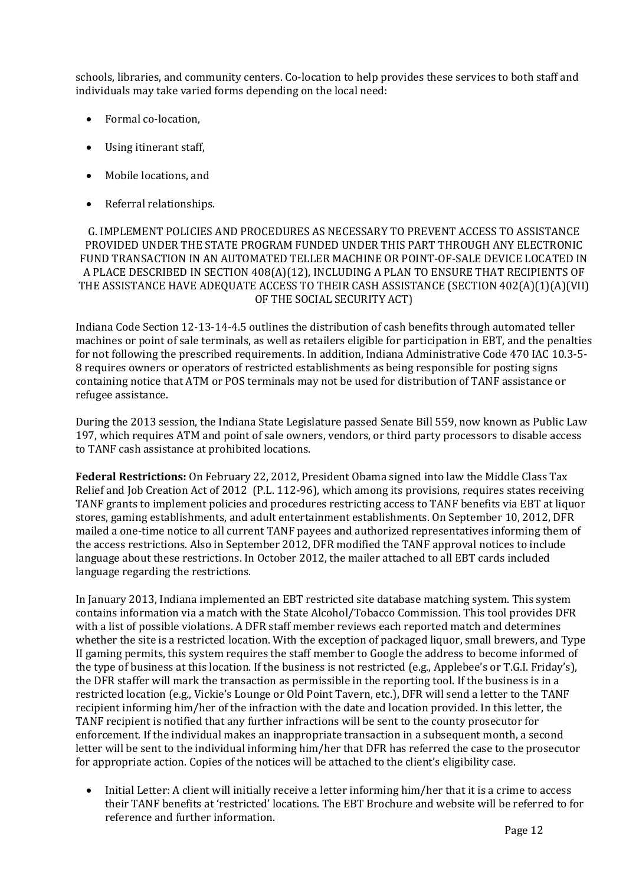schools, libraries, and community centers. Co-location to help provides these services to both staff and individuals may take varied forms depending on the local need:

- Formal co-location,
- Using itinerant staff,
- Mobile locations, and
- Referral relationships.

G. IMPLEMENT POLICIES AND PROCEDURES AS NECESSARY TO PREVENT ACCESS TO ASSISTANCE PROVIDED UNDER THE STATE PROGRAM FUNDED UNDER THIS PART THROUGH ANY ELECTRONIC FUND TRANSACTION IN AN AUTOMATED TELLER MACHINE OR POINT-OF-SALE DEVICE LOCATED IN A PLACE DESCRIBED IN SECTION 408(A)(12), INCLUDING A PLAN TO ENSURE THAT RECIPIENTS OF THE ASSISTANCE HAVE ADEQUATE ACCESS TO THEIR CASH ASSISTANCE (SECTION 402(A)(1)(A)(VII) OF THE SOCIAL SECURITY ACT)

Indiana Code Section 12-13-14-4.5 outlines the distribution of cash benefits through automated teller machines or point of sale terminals, as well as retailers eligible for participation in EBT, and the penalties for not following the prescribed requirements. In addition, Indiana Administrative Code 470 IAC 10.3-5- 8 requires owners or operators of restricted establishments as being responsible for posting signs containing notice that ATM or POS terminals may not be used for distribution of TANF assistance or refugee assistance.

During the 2013 session, the Indiana State Legislature passed Senate Bill 559, now known as Public Law 197, which requires ATM and point of sale owners, vendors, or third party processors to disable access to TANF cash assistance at prohibited locations.

**Federal Restrictions:** On February 22, 2012, President Obama signed into law the Middle Class Tax Relief and Job Creation Act of 2012 (P.L. 112-96), which among its provisions, requires states receiving TANF grants to implement policies and procedures restricting access to TANF benefits via EBT at liquor stores, gaming establishments, and adult entertainment establishments. On September 10, 2012, DFR mailed a one-time notice to all current TANF payees and authorized representatives informing them of the access restrictions. Also in September 2012, DFR modified the TANF approval notices to include language about these restrictions. In October 2012, the mailer attached to all EBT cards included language regarding the restrictions.

In January 2013, Indiana implemented an EBT restricted site database matching system. This system contains information via a match with the State Alcohol/Tobacco Commission. This tool provides DFR with a list of possible violations. A DFR staff member reviews each reported match and determines whether the site is a restricted location. With the exception of packaged liquor, small brewers, and Type II gaming permits, this system requires the staff member to Google the address to become informed of the type of business at this location. If the business is not restricted (e.g., Applebee's or T.G.I. Friday's), the DFR staffer will mark the transaction as permissible in the reporting tool. If the business is in a restricted location (e.g., Vickie's Lounge or Old Point Tavern, etc.), DFR will send a letter to the TANF recipient informing him/her of the infraction with the date and location provided. In this letter, the TANF recipient is notified that any further infractions will be sent to the county prosecutor for enforcement. If the individual makes an inappropriate transaction in a subsequent month, a second letter will be sent to the individual informing him/her that DFR has referred the case to the prosecutor for appropriate action. Copies of the notices will be attached to the client's eligibility case.

• Initial Letter: A client will initially receive a letter informing him/her that it is a crime to access their TANF benefits at 'restricted' locations. The EBT Brochure and website will be referred to for reference and further information.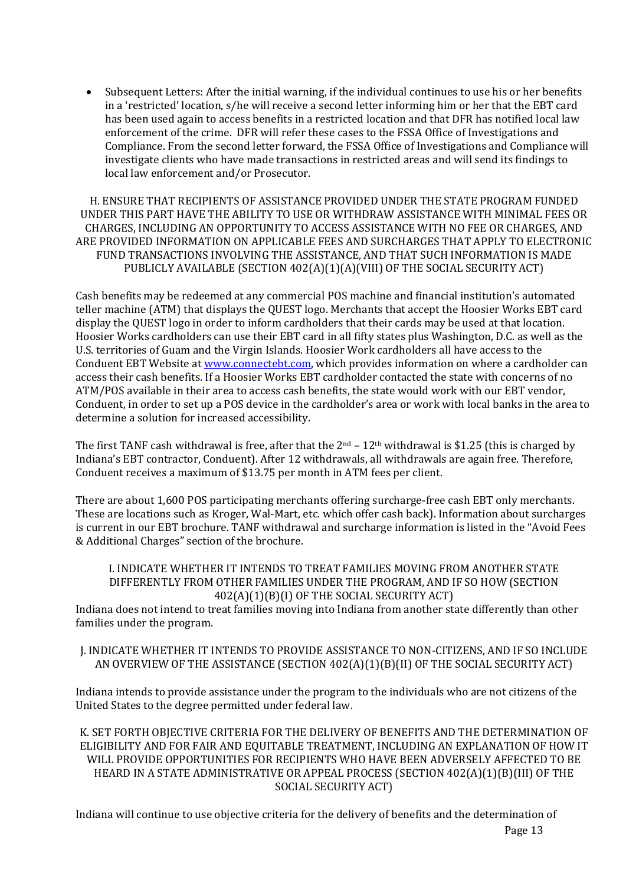• Subsequent Letters: After the initial warning, if the individual continues to use his or her benefits in a 'restricted' location, s/he will receive a second letter informing him or her that the EBT card has been used again to access benefits in a restricted location and that DFR has notified local law enforcement of the crime. DFR will refer these cases to the FSSA Office of Investigations and Compliance. From the second letter forward, the FSSA Office of Investigations and Compliance will investigate clients who have made transactions in restricted areas and will send its findings to local law enforcement and/or Prosecutor.

H. ENSURE THAT RECIPIENTS OF ASSISTANCE PROVIDED UNDER THE STATE PROGRAM FUNDED UNDER THIS PART HAVE THE ABILITY TO USE OR WITHDRAW ASSISTANCE WITH MINIMAL FEES OR CHARGES, INCLUDING AN OPPORTUNITY TO ACCESS ASSISTANCE WITH NO FEE OR CHARGES, AND ARE PROVIDED INFORMATION ON APPLICABLE FEES AND SURCHARGES THAT APPLY TO ELECTRONIC FUND TRANSACTIONS INVOLVING THE ASSISTANCE, AND THAT SUCH INFORMATION IS MADE PUBLICLY AVAILABLE (SECTION 402(A)(1)(A)(VIII) OF THE SOCIAL SECURITY ACT)

Cash benefits may be redeemed at any commercial POS machine and financial institution's automated teller machine (ATM) that displays the QUEST logo. Merchants that accept the Hoosier Works EBT card display the QUEST logo in order to inform cardholders that their cards may be used at that location. Hoosier Works cardholders can use their EBT card in all fifty states plus Washington, D.C. as well as the U.S. territories of Guam and the Virgin Islands. Hoosier Work cardholders all have access to the Conduent EBT Website at [www.connectebt.com,](http://www.connectebt.com/) which provides information on where a cardholder can access their cash benefits. If a Hoosier Works EBT cardholder contacted the state with concerns of no ATM/POS available in their area to access cash benefits, the state would work with our EBT vendor, Conduent, in order to set up a POS device in the cardholder's area or work with local banks in the area to determine a solution for increased accessibility.

The first TANF cash withdrawal is free, after that the  $2<sup>nd</sup> - 12<sup>th</sup>$  withdrawal is \$1.25 (this is charged by Indiana's EBT contractor, Conduent). After 12 withdrawals, all withdrawals are again free. Therefore, Conduent receives a maximum of \$13.75 per month in ATM fees per client.

There are about 1,600 POS participating merchants offering surcharge-free cash EBT only merchants. These are locations such as Kroger, Wal-Mart, etc. which offer cash back). Information about surcharges is current in our EBT brochure. TANF withdrawal and surcharge information is listed in the "Avoid Fees & Additional Charges" section of the brochure.

#### I. INDICATE WHETHER IT INTENDS TO TREAT FAMILIES MOVING FROM ANOTHER STATE DIFFERENTLY FROM OTHER FAMILIES UNDER THE PROGRAM, AND IF SO HOW (SECTION 402(A)(1)(B)(I) OF THE SOCIAL SECURITY ACT)

Indiana does not intend to treat families moving into Indiana from another state differently than other families under the program.

J. INDICATE WHETHER IT INTENDS TO PROVIDE ASSISTANCE TO NON-CITIZENS, AND IF SO INCLUDE AN OVERVIEW OF THE ASSISTANCE (SECTION 402(A)(1)(B)(II) OF THE SOCIAL SECURITY ACT)

Indiana intends to provide assistance under the program to the individuals who are not citizens of the United States to the degree permitted under federal law.

K. SET FORTH OBJECTIVE CRITERIA FOR THE DELIVERY OF BENEFITS AND THE DETERMINATION OF ELIGIBILITY AND FOR FAIR AND EQUITABLE TREATMENT, INCLUDING AN EXPLANATION OF HOW IT WILL PROVIDE OPPORTUNITIES FOR RECIPIENTS WHO HAVE BEEN ADVERSELY AFFECTED TO BE HEARD IN A STATE ADMINISTRATIVE OR APPEAL PROCESS (SECTION 402(A)(1)(B)(III) OF THE SOCIAL SECURITY ACT)

Page 13 Indiana will continue to use objective criteria for the delivery of benefits and the determination of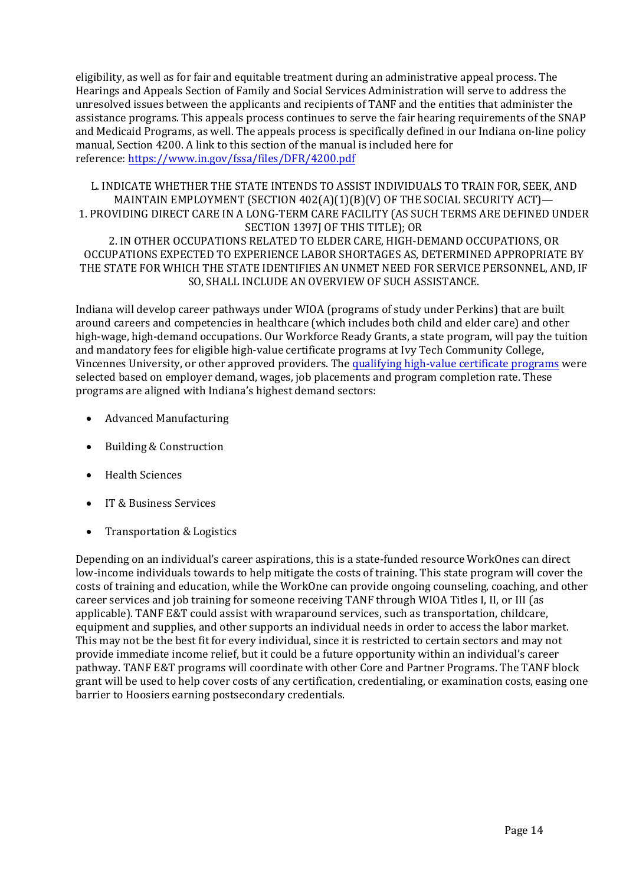eligibility, as well as for fair and equitable treatment during an administrative appeal process. The Hearings and Appeals Section of Family and Social Services Administration will serve to address the unresolved issues between the applicants and recipients of TANF and the entities that administer the assistance programs. This appeals process continues to serve the fair hearing requirements of the SNAP and Medicaid Programs, as well. The appeals process is specifically defined in our Indiana on-line policy manual, Section 4200. A link to this section of the manual is included here for reference: [https://www.in.gov/fssa/files/](https://www.in.gov/fssa/dfr/files/4200.pdf)DFR/4200.pdf

L. INDICATE WHETHER THE STATE INTENDS TO ASSIST INDIVIDUALS TO TRAIN FOR, SEEK, AND MAINTAIN EMPLOYMENT (SECTION 402(A)(1)(B)(V) OF THE SOCIAL SECURITY ACT)— 1. PROVIDING DIRECT CARE IN A LONG-TERM CARE FACILITY (AS SUCH TERMS ARE DEFINED UNDER SECTION 1397J OF THIS TITLE); OR 2. IN OTHER OCCUPATIONS RELATED TO ELDER CARE, HIGH-DEMAND OCCUPATIONS, OR OCCUPATIONS EXPECTED TO EXPERIENCE LABOR SHORTAGES AS, DETERMINED APPROPRIATE BY THE STATE FOR WHICH THE STATE IDENTIFIES AN UNMET NEED FOR SERVICE PERSONNEL, AND, IF SO, SHALL INCLUDE AN OVERVIEW OF SUCH ASSISTANCE.

Indiana will develop career pathways under WIOA (programs of study under Perkins) that are built around careers and competencies in healthcare (which includes both child and elder care) and other high-wage, high-demand occupations. Our Workforce Ready Grants, a state program, will pay the tuition and mandatory fees for eligible high-value certificate programs at Ivy Tech Community College, Vincennes University, or other approved providers. The [qualifying high-value certificate](https://www.nextleveljobs.org/Job-Seeker/Available-Job-Training) programs were selected based on employer demand, wages, job placements and program completion rate. These programs are aligned with Indiana's highest demand sectors:

- Advanced Manufacturing
- Building & Construction
- Health Sciences
- IT & Business Services
- Transportation & Logistics

Depending on an individual's career aspirations, this is a state-funded resource WorkOnes can direct low-income individuals towards to help mitigate the costs of training. This state program will cover the costs of training and education, while the WorkOne can provide ongoing counseling, coaching, and other career services and job training for someone receiving TANF through WIOA Titles I, II, or III (as applicable). TANF E&T could assist with wraparound services, such as transportation, childcare, equipment and supplies, and other supports an individual needs in order to access the labor market. This may not be the best fit for every individual, since it is restricted to certain sectors and may not provide immediate income relief, but it could be a future opportunity within an individual's career pathway. TANF E&T programs will coordinate with other Core and Partner Programs. The TANF block grant will be used to help cover costs of any certification, credentialing, or examination costs, easing one barrier to Hoosiers earning postsecondary credentials.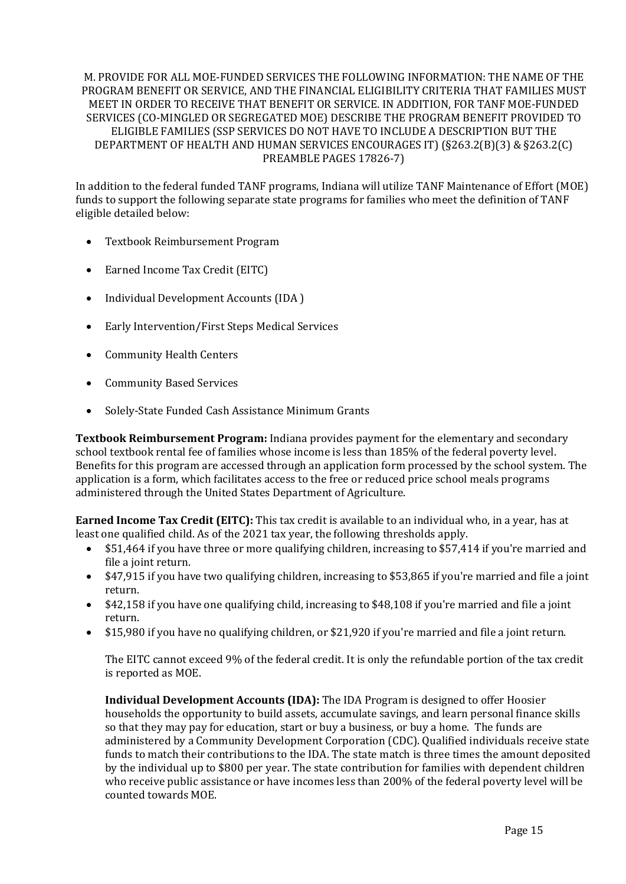#### M. PROVIDE FOR ALL MOE-FUNDED SERVICES THE FOLLOWING INFORMATION: THE NAME OF THE PROGRAM BENEFIT OR SERVICE, AND THE FINANCIAL ELIGIBILITY CRITERIA THAT FAMILIES MUST MEET IN ORDER TO RECEIVE THAT BENEFIT OR SERVICE. IN ADDITION, FOR TANF MOE-FUNDED SERVICES (CO-MINGLED OR SEGREGATED MOE) DESCRIBE THE PROGRAM BENEFIT PROVIDED TO ELIGIBLE FAMILIES (SSP SERVICES DO NOT HAVE TO INCLUDE A DESCRIPTION BUT THE DEPARTMENT OF HEALTH AND HUMAN SERVICES ENCOURAGES IT) (§263.2(B)(3) & §263.2(C) PREAMBLE PAGES 17826-7)

In addition to the federal funded TANF programs, Indiana will utilize TANF Maintenance of Effort (MOE) funds to support the following separate state programs for families who meet the definition of TANF eligible detailed below:

- Textbook Reimbursement Program
- Earned Income Tax Credit (EITC)
- Individual Development Accounts (IDA )
- Early Intervention/First Steps Medical Services
- Community Health Centers
- Community Based Services
- Solely-State Funded Cash Assistance Minimum Grants

**Textbook Reimbursement Program:** Indiana provides payment for the elementary and secondary school textbook rental fee of families whose income is less than 185% of the federal poverty level. Benefits for this program are accessed through an application form processed by the school system. The application is a form, which facilitates access to the free or reduced price school meals programs administered through the United States Department of Agriculture.

**Earned Income Tax Credit (EITC):** This tax credit is available to an individual who, in a year, has at least one qualified child. As of the 2021 tax year, the following thresholds apply.

- \$51,464 if you have three or more qualifying children, increasing to \$57,414 if you're married and file a joint return.
- \$47,915 if you have two qualifying children, increasing to \$53,865 if you're married and file a joint return.
- \$42,158 if you have one qualifying child, increasing to \$48,108 if you're married and file a joint return.
- \$15,980 if you have no qualifying children, or \$21,920 if you're married and file a joint return.

The EITC cannot exceed 9% of the federal credit. It is only the refundable portion of the tax credit is reported as MOE.

**Individual Development Accounts (IDA):** The IDA Program is designed to offer Hoosier households the opportunity to build assets, accumulate savings, and learn personal finance skills so that they may pay for education, start or buy a business, or buy a home. The funds are administered by a Community Development Corporation (CDC). Qualified individuals receive state funds to match their contributions to the IDA. The state match is three times the amount deposited by the individual up to \$800 per year. The state contribution for families with dependent children who receive public assistance or have incomes less than 200% of the federal poverty level will be counted towards MOE.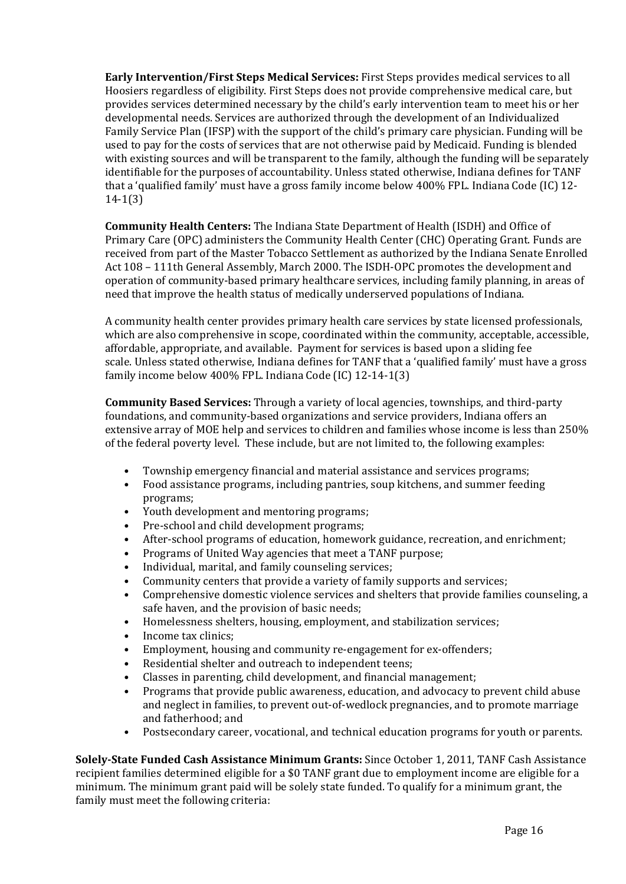**Early Intervention/First Steps Medical Services:** First Steps provides medical services to all Hoosiers regardless of eligibility. First Steps does not provide comprehensive medical care, but provides services determined necessary by the child's early intervention team to meet his or her developmental needs. Services are authorized through the development of an Individualized Family Service Plan (IFSP) with the support of the child's primary care physician. Funding will be used to pay for the costs of services that are not otherwise paid by Medicaid. Funding is blended with existing sources and will be transparent to the family, although the funding will be separately identifiable for the purposes of accountability. Unless stated otherwise, Indiana defines for TANF that a 'qualified family' must have a gross family income below 400% FPL. Indiana Code (IC) 12- 14-1(3)

**Community Health Centers:** The Indiana State Department of Health (ISDH) and Office of Primary Care (OPC) administers the Community Health Center (CHC) Operating Grant. Funds are received from part of the Master Tobacco Settlement as authorized by the Indiana Senate Enrolled Act 108 – 111th General Assembly, March 2000. The ISDH-OPC promotes the development and operation of community-based primary healthcare services, including family planning, in areas of need that improve the health status of medically underserved populations of Indiana.

A community health center provides primary health care services by state licensed professionals, which are also comprehensive in scope, coordinated within the community, acceptable, accessible, affordable, appropriate, and available. Payment for services is based upon a sliding fee scale. Unless stated otherwise, Indiana defines for TANF that a 'qualified family' must have a gross family income below 400% FPL. Indiana Code (IC) 12-14-1(3)

**Community Based Services:** Through a variety of local agencies, townships, and third-party foundations, and community-based organizations and service providers, Indiana offers an extensive array of MOE help and services to children and families whose income is less than 250% of the federal poverty level. These include, but are not limited to, the following examples:

- Township emergency financial and material assistance and services programs;<br>• Food assistance programs, including pantries, soun kitchens, and summer feed
- Food assistance programs, including pantries, soup kitchens, and summer feeding programs;
- Youth development and mentoring programs;
- Pre-school and child development programs;
- After-school programs of education, homework guidance, recreation, and enrichment;
- Programs of United Way agencies that meet a TANF purpose;<br>• Individual marital and family counseling services;
- Individual, marital, and family counseling services;
- Community centers that provide a variety of family supports and services;<br>• Comprehensive domestic violence services and shelters that provide famili
- Comprehensive domestic violence services and shelters that provide families counseling, a safe haven, and the provision of basic needs;
- Homelessness shelters, housing, employment, and stabilization services;
- Income tax clinics;<br>• Fmployment hous
- Employment, housing and community re-engagement for ex-offenders;
- Residential shelter and outreach to independent teens;
- Classes in parenting, child development, and financial management;
- Programs that provide public awareness, education, and advocacy to prevent child abuse and neglect in families, to prevent out-of-wedlock pregnancies, and to promote marriage and fatherhood; and
- Postsecondary career, vocational, and technical education programs for youth or parents.

**Solely-State Funded Cash Assistance Minimum Grants:** Since October 1, 2011, TANF Cash Assistance recipient families determined eligible for a \$0 TANF grant due to employment income are eligible for a minimum. The minimum grant paid will be solely state funded. To qualify for a minimum grant, the family must meet the following criteria: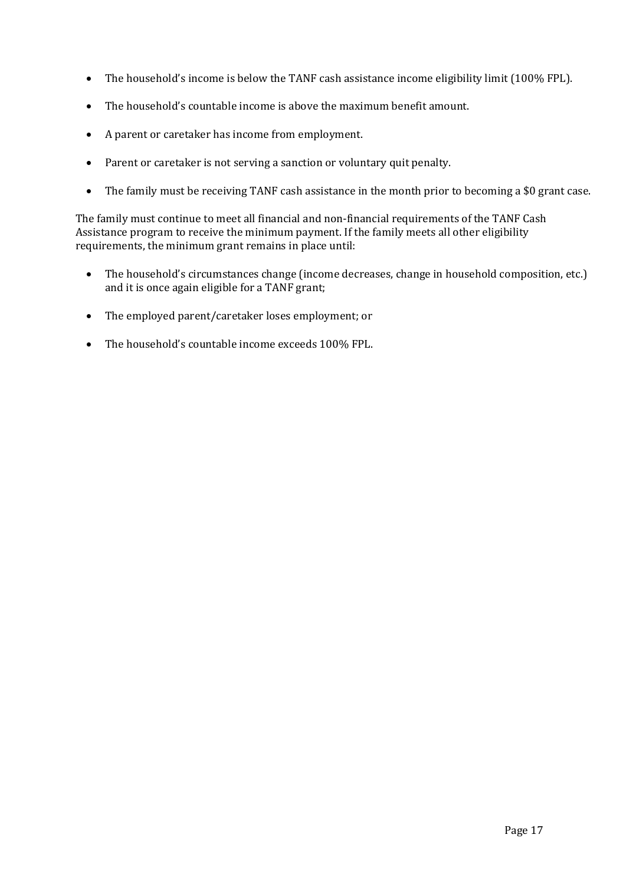- The household's income is below the TANF cash assistance income eligibility limit (100% FPL).
- The household's countable income is above the maximum benefit amount.
- A parent or caretaker has income from employment.
- Parent or caretaker is not serving a sanction or voluntary quit penalty.
- The family must be receiving TANF cash assistance in the month prior to becoming a \$0 grant case.

The family must continue to meet all financial and non-financial requirements of the TANF Cash Assistance program to receive the minimum payment. If the family meets all other eligibility requirements, the minimum grant remains in place until:

- The household's circumstances change (income decreases, change in household composition, etc.) and it is once again eligible for a TANF grant;
- The employed parent/caretaker loses employment; or
- The household's countable income exceeds 100% FPL.